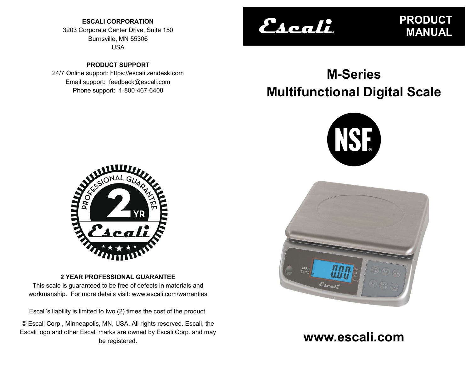**ESCALI CORPORATION** 3203 Corporate Center Drive, Suite 150 Burnsville, MN 55306 USA

**PRODUCT SUPPORT** 24/7 Online support: https://escali.zendesk.com Email support: feedback@escali.com Phone support: 1-800-467-6408

# Escali.

**PRODUCT MANUAL**

# **M-Series Multifunctional Digital Scale**





**www.escali.com**



# **2 YEAR PROFESSIONAL GUARANTEE**

This scale is guaranteed to be free of defects in materials and workmanship. For more details visit: www.escali.com/warranties

Escali's liability is limited to two (2) times the cost of the product.

© Escali Corp., Minneapolis, MN, USA. All rights reserved. Escali, the Escali logo and other Escali marks are owned by Escali Corp. and may be registered.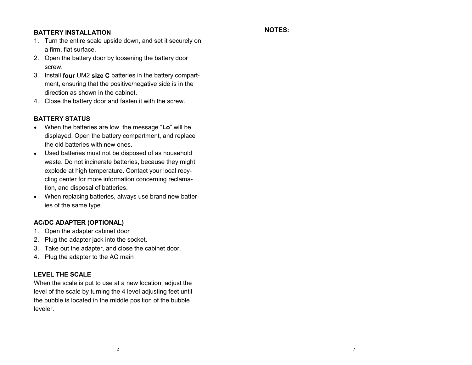#### **BATTERY INSTALLATION**

#### **NOTES:**

- 1. Turn the entire scale upside down, and set it securely on a firm, flat surface.
- 2. Open the battery door by loosening the battery door screw.
- 3. Install **four** UM2 **size C** batteries in the battery compartment, ensuring that the positive/negative side is in the direction as shown in the cabinet.
- 4. Close the battery door and fasten it with the screw.

# **BATTERY STATUS**

- When the batteries are low, the message "**Lo**" will be displayed. Open the battery compartment, and replace the old batteries with new ones.
- Used batteries must not be disposed of as household waste. Do not incinerate batteries, because they might explode at high temperature. Contact your local recycling center for more information concerning reclamation, and disposal of batteries.
- When replacing batteries, always use brand new batteries of the same type.

# **AC/DC ADAPTER (OPTIONAL)**

- 1. Open the adapter cabinet door
- 2. Plug the adapter jack into the socket.
- 3. Take out the adapter, and close the cabinet door.
- 4. Plug the adapter to the AC main

# **LEVEL THE SCALE**

When the scale is put to use at a new location, adjust the level of the scale by turning the 4 level adjusting feet until the bubble is located in the middle position of the bubble leveler.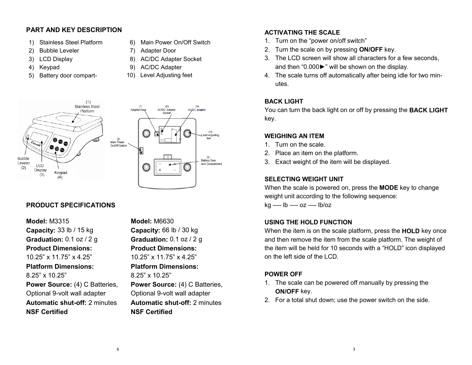#### **PART AND KEY DESCRIPTION**

- 1) Stainless Steel Platform
- 2) Bubble Leveler
- 3) LCD Display
- 4) Keypad
- 5) Battery door compart-



6) Main Power On/Off Switch

- 9) AC/DC Adapter
- 10) Level Adjusting feet





# **PRODUCT SPECIFICATIONS**

**Model:** M3315 **Capacity:** 33 lb / 15 kg **Graduation:** 0.1 oz / 2 g **Product Dimensions:** 10.25" x 11.75" x 4.25" **Platform Dimensions:** 8.25" x 10.25" **Power Source: (4) C Batteries,** Optional 9-volt wall adapter **Automatic shut-off:** 2 minutes **NSF Certified** 

**Capacity:** 66 lb / 30 kg **Graduation:** 0.1 oz / 2 g **Product Dimensions:** 10.25" x 11.75" x 4.25" **Platform Dimensions:** 8.25" x 10.25" **Power Source: (4) C Batteries,** Optional 9-volt wall adapter **Automatic shut-off:** 2 minutes **NSF Certified** 

**Model:** M6630

#### **ACTIVATING THE SCALE**

- 1. Turn on the "power on/off switch"
- 2. Turn the scale on by pressing **ON/OFF** key.
- 3. The LCD screen will show all characters for a few seconds, and then "0.000►" will be shown on the display.
- 4. The scale turns off automatically after being idle for two minutes.

#### **BACK LIGHT**

You can turn the back light on or off by pressing the **BACK LIGHT** key.

#### **WEIGHING AN ITEM**

- 1. Turn on the scale.
- 2. Place an item on the platform.
- 3. Exact weight of the item will be displayed.

#### **SELECTING WEIGHT UNIT**

When the scale is powered on, press the **MODE** key to change weight unit according to the following sequence:

kg —- lb —- oz —- lb/oz

# **USING THE HOLD FUNCTION**

When the item is on the scale platform, press the **HOLD** key once and then remove the item from the scale platform. The weight of the item will be held for 10 seconds with a "HOLD" icon displayed on the left side of the LCD.

# **POWER OFF**

- 1. The scale can be powered off manually by pressing the **ON/OFF** key.
- 2. For a total shut down; use the power switch on the side.